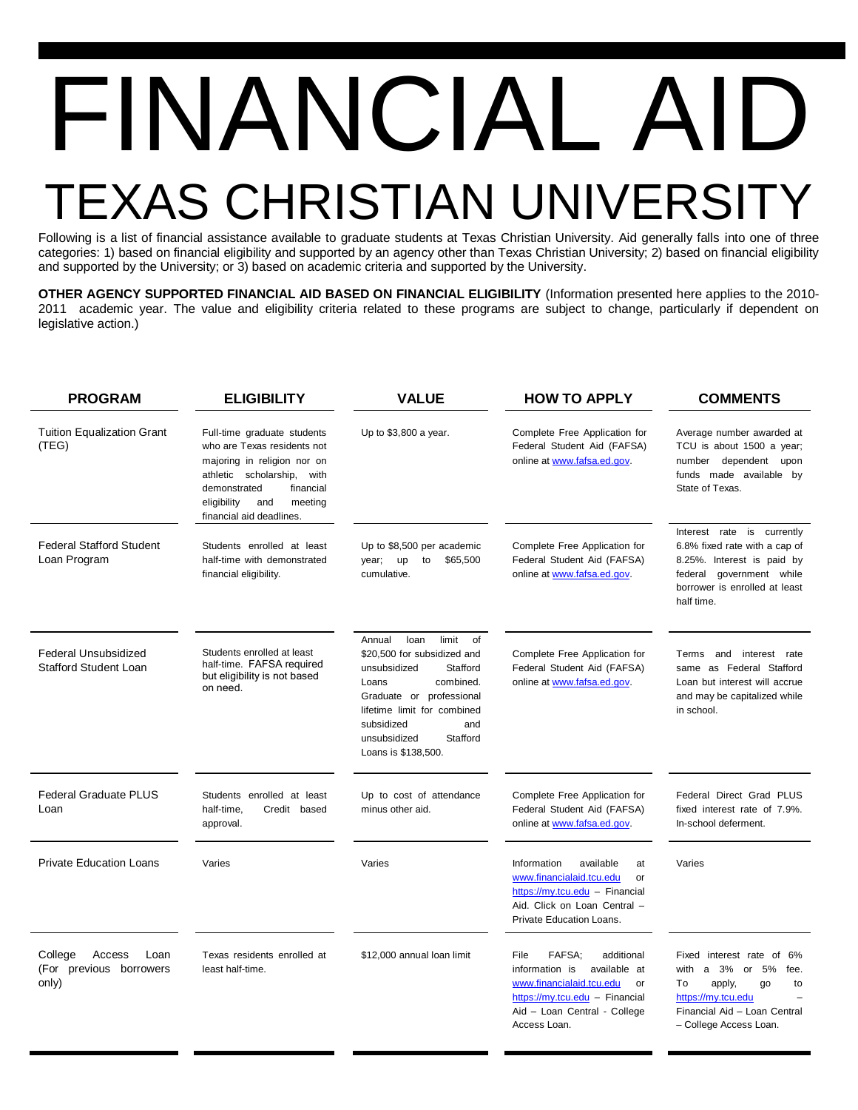## FINANCIAL A EXAS CHRISTIAN UNIVER

Following is a list of financial assistance available to graduate students at Texas Christian University. Aid generally falls into one of three categories: 1) based on financial eligibility and supported by an agency other than Texas Christian University; 2) based on financial eligibility and supported by the University; or 3) based on academic criteria and supported by the University.

**OTHER AGENCY SUPPORTED FINANCIAL AID BASED ON FINANCIAL ELIGIBILITY** (Information presented here applies to the 2010- 2011 academic year. The value and eligibility criteria related to these programs are subject to change, particularly if dependent on legislative action.)

| <b>PROGRAM</b>                                                | <b>ELIGIBILITY</b>                                                                                                                                                                                                   | <b>VALUE</b>                                                                                                                                                                                                                                      | <b>HOW TO APPLY</b>                                                                                                                                                                | <b>COMMENTS</b>                                                                                                                                                           |
|---------------------------------------------------------------|----------------------------------------------------------------------------------------------------------------------------------------------------------------------------------------------------------------------|---------------------------------------------------------------------------------------------------------------------------------------------------------------------------------------------------------------------------------------------------|------------------------------------------------------------------------------------------------------------------------------------------------------------------------------------|---------------------------------------------------------------------------------------------------------------------------------------------------------------------------|
| <b>Tuition Equalization Grant</b><br>(TEG)                    | Full-time graduate students<br>who are Texas residents not<br>majoring in religion nor on<br>athletic scholarship,<br>with<br>demonstrated<br>financial<br>eligibility<br>and<br>meeting<br>financial aid deadlines. | Up to \$3,800 a year.                                                                                                                                                                                                                             | Complete Free Application for<br>Federal Student Aid (FAFSA)<br>online at www.fafsa.ed.gov.                                                                                        | Average number awarded at<br>TCU is about 1500 a year;<br>number dependent upon<br>funds made available by<br>State of Texas.                                             |
| <b>Federal Stafford Student</b><br>Loan Program               | Students enrolled at least<br>half-time with demonstrated<br>financial eligibility.                                                                                                                                  | Up to \$8,500 per academic<br>up<br>to<br>\$65,500<br>year;<br>cumulative.                                                                                                                                                                        | Complete Free Application for<br>Federal Student Aid (FAFSA)<br>online at www.fafsa.ed.gov.                                                                                        | Interest rate is currently<br>6.8% fixed rate with a cap of<br>8.25%. Interest is paid by<br>federal government while<br>borrower is enrolled at least<br>half time.      |
| <b>Federal Unsubsidized</b><br><b>Stafford Student Loan</b>   | Students enrolled at least<br>half-time. FAFSA required<br>but eligibility is not based<br>on need.                                                                                                                  | Annual<br>limit<br>loan<br>of<br>\$20,500 for subsidized and<br>unsubsidized<br>Stafford<br>combined.<br>Loans<br>Graduate or professional<br>lifetime limit for combined<br>subsidized<br>and<br>Stafford<br>unsubsidized<br>Loans is \$138,500. | Complete Free Application for<br>Federal Student Aid (FAFSA)<br>online at www.fafsa.ed.gov.                                                                                        | interest rate<br>Terms<br>and<br>same as Federal Stafford<br>Loan but interest will accrue<br>and may be capitalized while<br>in school.                                  |
| <b>Federal Graduate PLUS</b><br>Loan                          | Students enrolled at least<br>half-time,<br>Credit based<br>approval.                                                                                                                                                | Up to cost of attendance<br>minus other aid.                                                                                                                                                                                                      | Complete Free Application for<br>Federal Student Aid (FAFSA)<br>online at www.fafsa.ed.gov.                                                                                        | Federal Direct Grad PLUS<br>fixed interest rate of 7.9%.<br>In-school deferment.                                                                                          |
| <b>Private Education Loans</b>                                | Varies                                                                                                                                                                                                               | Varies                                                                                                                                                                                                                                            | Information<br>available<br>at<br>www.financialaid.tcu.edu<br>or<br>https://my.tcu.edu - Financial<br>Aid. Click on Loan Central -<br>Private Education Loans.                     | Varies                                                                                                                                                                    |
| College<br>Access<br>Loan<br>(For previous borrowers<br>only) | Texas residents enrolled at<br>least half-time.                                                                                                                                                                      | \$12,000 annual loan limit                                                                                                                                                                                                                        | FAFSA:<br>File<br>additional<br>information is<br>available at<br>www.financialaid.tcu.edu<br>or<br>https://my.tcu.edu - Financial<br>Aid - Loan Central - College<br>Access Loan. | Fixed interest rate of 6%<br>with<br>a 3%<br>5%<br>or<br>fee.<br>To<br>apply,<br>go<br>to<br>https://mv.tcu.edu<br>Financial Aid - Loan Central<br>- College Access Loan. |